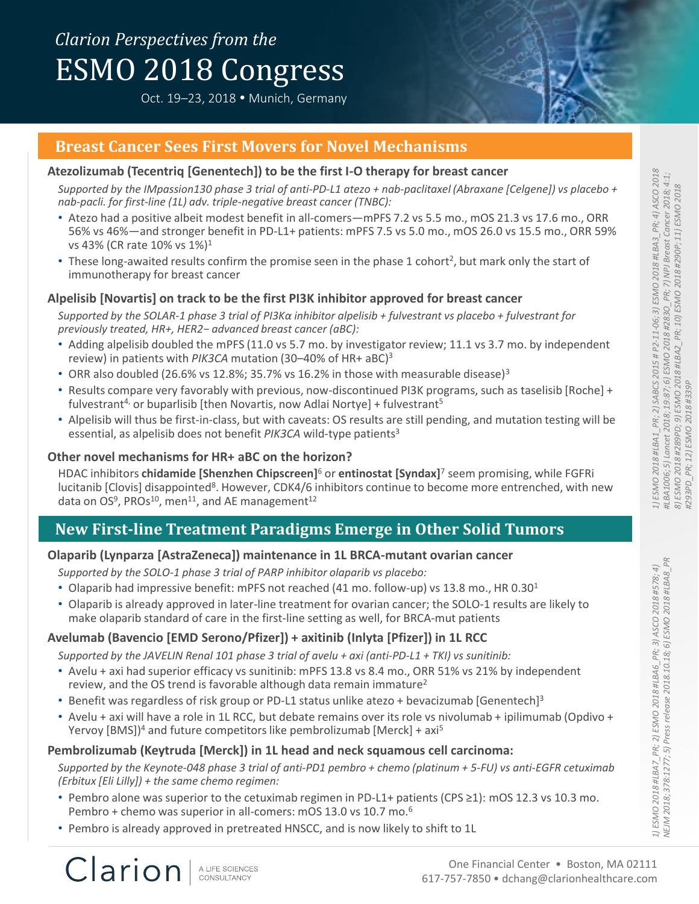# *Clarion Perspectives from the* ESMO 2018 Congress

Oct. 19–23, 2018 Munich, Germany

# **Breast Cancer Sees First Movers for Novel Mechanisms**

#### **Atezolizumab (Tecentriq [Genentech]) to be the first I-O therapy for breast cancer**

*Supported by the IMpassion130 phase 3 trial of anti-PD-L1 atezo + nab-paclitaxel (Abraxane [Celgene]) vs placebo + nab-pacli. for first-line (1L) adv. triple-negative breast cancer (TNBC):*

- Atezo had a positive albeit modest benefit in all-comers—mPFS 7.2 vs 5.5 mo., mOS 21.3 vs 17.6 mo., ORR 56% vs 46%—and stronger benefit in PD-L1+ patients: mPFS 7.5 vs 5.0 mo., mOS 26.0 vs 15.5 mo., ORR 59% vs 43% (CR rate 10% vs 1%)<sup>1</sup>
- These long-awaited results confirm the promise seen in the phase 1 cohort<sup>2</sup>, but mark only the start of immunotherapy for breast cancer

#### **Alpelisib [Novartis] on track to be the first PI3K inhibitor approved for breast cancer**

*Supported by the SOLAR-1 phase 3 trial of PI3Kα inhibitor alpelisib + fulvestrant vs placebo + fulvestrant for previously treated, HR+, HER2− advanced breast cancer (aBC):*

- Adding alpelisib doubled the mPFS (11.0 vs 5.7 mo. by investigator review; 11.1 vs 3.7 mo. by independent review) in patients with *PIK3CA* mutation (30–40% of HR+ aBC) 3
- ORR also doubled (26.6% vs 12.8%; 35.7% vs 16.2% in those with measurable disease)<sup>3</sup>
- Results compare very favorably with previous, now-discontinued PI3K programs, such as taselisib [Roche] + fulvestrant<sup>4,</sup> or buparlisib [then Novartis, now Adlai Nortye] + fulvestrant<sup>5</sup>
- Alpelisib will thus be first-in-class, but with caveats: OS results are still pending, and mutation testing will be essential, as alpelisib does not benefit *PIK3CA* wild-type patients<sup>3</sup>

#### **Other novel mechanisms for HR+ aBC on the horizon?**

HDAC inhibitors **chidamide [Shenzhen Chipscreen]**<sup>6</sup> or **entinostat [Syndax]**<sup>7</sup> seem promising, while FGFRi lucitanib [Clovis] disappointed<sup>8</sup>. However, CDK4/6 inhibitors continue to become more entrenched, with new data on OS<sup>9</sup>, PROs<sup>10</sup>, men<sup>11</sup>, and AE management<sup>12</sup>

# **New First-line Treatment Paradigms Emerge in Other Solid Tumors**

#### **Olaparib (Lynparza [AstraZeneca]) maintenance in 1L BRCA-mutant ovarian cancer**

*Supported by the SOLO-1 phase 3 trial of PARP inhibitor olaparib vs placebo:*

- Olaparib had impressive benefit: mPFS not reached (41 mo. follow-up) vs 13.8 mo., HR  $0.30<sup>1</sup>$
- Olaparib is already approved in later-line treatment for ovarian cancer; the SOLO-1 results are likely to make olaparib standard of care in the first-line setting as well, for BRCA-mut patients

# **Avelumab (Bavencio [EMD Serono/Pfizer]) + axitinib (Inlyta [Pfizer]) in 1L RCC**

*Supported by the JAVELIN Renal 101 phase 3 trial of avelu + axi (anti-PD-L1 + TKI) vs sunitinib:*

- Avelu + axi had superior efficacy vs sunitinib: mPFS 13.8 vs 8.4 mo., ORR 51% vs 21% by independent review, and the OS trend is favorable although data remain immature<sup>2</sup>
- Benefit was regardless of risk group or PD-L1 status unlike atezo + bevacizumab [Genentech]<sup>3</sup>
- Avelu + axi will have a role in 1L RCC, but debate remains over its role vs nivolumab + ipilimumab (Opdivo + Yervoy  $[BMS]$ <sup>4</sup> and future competitors like pembrolizumab  $[Merck] + axi<sup>5</sup>$

#### **Pembrolizumab (Keytruda [Merck]) in 1L head and neck squamous cell carcinoma:**

*Supported by the Keynote-048 phase 3 trial of anti-PD1 pembro + chemo (platinum + 5-FU) vs anti-EGFR cetuximab (Erbitux [Eli Lilly]) + the same chemo regimen:*

- Pembro alone was superior to the cetuximab regimen in PD-L1+ patients (CPS ≥1): mOS 12.3 vs 10.3 mo. Pembro + chemo was superior in all-comers: mOS 13.0 vs 10.7 mo.<sup>6</sup>
- Pembro is already approved in pretreated HNSCC, and is now likely to shift to 1L

A LIFE SCIENCES CONSULTANCY

Clarion

*1) ESMO 2018 #LBA7\_PR; 2) ESMO 2018 #LBA6\_PR; 3) ASCO 2018 #578; 4) NEJM 2018; 378:1277; 5) Press release 2018.10.18; 6) ESMO 2018 #LBA8\_PR*

1) ESMO 2018 #LBA7\_PR; 2) ESMO 2018 #LBA6\_PR; 3) ASCO 2018 #578; 4)<br>NE/M 2018; 378:1277; 5) Press release 2018.10.18; 6) ESMO 2018 #LBA8\_P

PR